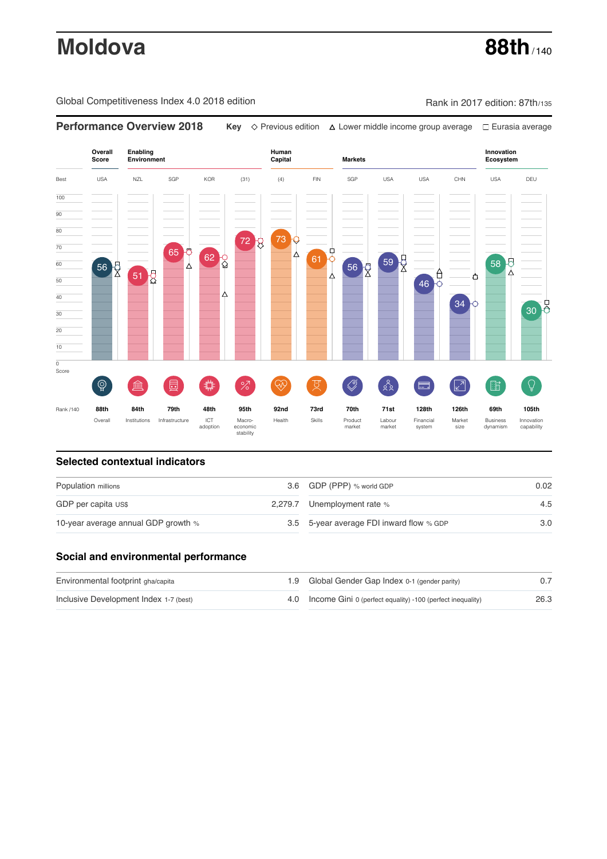# **Moldova 88th** / 140

Global Competitiveness Index 4.0 2018 edition Company Rank in 2017 edition: 87th/135



### **Selected contextual indicators**

| Population millions                 |  | 3.6 GDP (PPP) % world GDP                | 0.02 |  |
|-------------------------------------|--|------------------------------------------|------|--|
| GDP per capita US\$                 |  | 2,279.7 Unemployment rate %              | 4.5  |  |
| 10-year average annual GDP growth % |  | 3.5 5-year average FDI inward flow % GDP | 3.0  |  |

# **Social and environmental performance**

| Environmental footprint gha/capita     |  | 1.9 Global Gender Gap Index 0-1 (gender parity)                |      |  |
|----------------------------------------|--|----------------------------------------------------------------|------|--|
| Inclusive Development Index 1-7 (best) |  | 4.0 Income Gini 0 (perfect equality) -100 (perfect inequality) | 26.3 |  |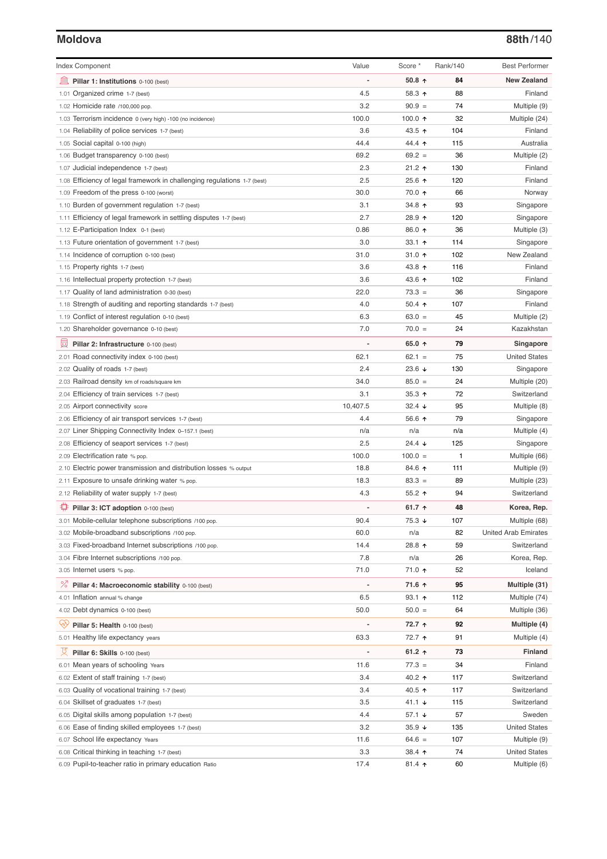# **Moldova 88th**/140

| <b>Index Component</b>                                                                                             | Value                        | Score *              | Rank/140  | <b>Best Performer</b>        |
|--------------------------------------------------------------------------------------------------------------------|------------------------------|----------------------|-----------|------------------------------|
| 寙<br>Pillar 1: Institutions 0-100 (best)                                                                           |                              | 50.8 $\uparrow$      | 84        | <b>New Zealand</b>           |
| 1.01 Organized crime 1-7 (best)                                                                                    | 4.5                          | 58.3 ↑               | 88        | Finland                      |
| 1.02 Homicide rate /100,000 pop.                                                                                   | 3.2                          | $90.9 =$             | 74        | Multiple (9)                 |
| 1.03 Terrorism incidence 0 (very high) -100 (no incidence)                                                         | 100.0                        | 100.0 $\uparrow$     | 32        | Multiple (24)                |
| 1.04 Reliability of police services 1-7 (best)                                                                     | 3.6                          | 43.5 ↑               | 104       | Finland                      |
| 1.05 Social capital 0-100 (high)                                                                                   | 44.4                         | 44.4 1               | 115       | Australia                    |
| 1.06 Budget transparency 0-100 (best)                                                                              | 69.2                         | $69.2 =$             | 36        | Multiple (2)                 |
| 1.07 Judicial independence 1-7 (best)                                                                              | 2.3                          | $21.2$ ↑             | 130       | Finland                      |
| 1.08 Efficiency of legal framework in challenging regulations 1-7 (best)                                           | 2.5                          | 25.6 ↑               | 120       | Finland                      |
| 1.09 Freedom of the press 0-100 (worst)                                                                            | 30.0                         | 70.0 ↑               | 66        | Norway                       |
| 1.10 Burden of government regulation 1-7 (best)                                                                    | 3.1                          | 34.8 ↑               | 93        | Singapore                    |
| 1.11 Efficiency of legal framework in settling disputes 1-7 (best)                                                 | 2.7                          | 28.9 ↑               | 120       | Singapore                    |
| 1.12 E-Participation Index 0-1 (best)                                                                              | 0.86                         | 86.0 ↑               | 36        | Multiple (3)                 |
| 1.13 Future orientation of government 1-7 (best)                                                                   | 3.0                          | 33.1 $\uparrow$      | 114       | Singapore                    |
| 1.14 Incidence of corruption 0-100 (best)                                                                          | 31.0                         | 31.0 $\uparrow$      | 102       | New Zealand                  |
| 1.15 Property rights 1-7 (best)                                                                                    | 3.6                          | 43.8 ↑               | 116       | Finland                      |
| 1.16 Intellectual property protection 1-7 (best)                                                                   | 3.6                          | 43.6 ↑               | 102       | Finland                      |
| 1.17 Quality of land administration 0-30 (best)                                                                    | 22.0                         | $73.3 =$             | 36        | Singapore                    |
| 1.18 Strength of auditing and reporting standards 1-7 (best)                                                       | 4.0                          | 50.4 $\uparrow$      | 107       | Finland                      |
| 1.19 Conflict of interest regulation 0-10 (best)                                                                   | 6.3                          | $63.0 =$             | 45        | Multiple (2)                 |
| 1.20 Shareholder governance 0-10 (best)                                                                            | 7.0                          | $70.0 =$             | 24        | Kazakhstan                   |
|                                                                                                                    |                              | 65.0 ↑               | 79        |                              |
| 囩<br>Pillar 2: Infrastructure 0-100 (best)                                                                         |                              |                      |           | Singapore                    |
| 2.01 Road connectivity index 0-100 (best)                                                                          | 62.1                         | $62.1 =$             | 75        | <b>United States</b>         |
| 2.02 Quality of roads 1-7 (best)                                                                                   | 2.4                          | 23.6 $\sqrt{ }$      | 130       | Singapore                    |
| 2.03 Railroad density km of roads/square km                                                                        | 34.0                         | $85.0 =$             | 24        | Multiple (20)                |
| 2.04 Efficiency of train services 1-7 (best)                                                                       | 3.1                          | 35.3 $\uparrow$      | 72        | Switzerland                  |
| 2.05 Airport connectivity score                                                                                    | 10,407.5                     | $32.4 +$             | 95        | Multiple (8)                 |
| 2.06 Efficiency of air transport services 1-7 (best)                                                               | 4.4                          | 56.6 $\uparrow$      | 79        | Singapore                    |
| 2.07 Liner Shipping Connectivity Index 0-157.1 (best)                                                              | n/a                          | n/a                  | n/a       | Multiple (4)                 |
| 2.08 Efficiency of seaport services 1-7 (best)                                                                     | 2.5                          | $24.4 \; \downarrow$ | 125       | Singapore                    |
| 2.09 Electrification rate % pop.                                                                                   | 100.0                        | $100.0 =$            | 1         | Multiple (66)                |
| 2.10 Electric power transmission and distribution losses % output<br>2.11 Exposure to unsafe drinking water % pop. | 18.8<br>18.3                 | 84.6 ↑<br>$83.3 =$   | 111<br>89 | Multiple (9)                 |
| 2.12 Reliability of water supply 1-7 (best)                                                                        | 4.3                          | $55.2$ ↑             | 94        | Multiple (23)<br>Switzerland |
|                                                                                                                    |                              |                      |           |                              |
| Pillar 3: ICT adoption 0-100 (best)                                                                                |                              | 61.7 $\uparrow$      | 48        | Korea, Rep.                  |
| 3.01 Mobile-cellular telephone subscriptions /100 pop.                                                             | 90.4                         | $75.3 +$             | 107       | Multiple (68)                |
| 3.02 Mobile-broadband subscriptions /100 pop.                                                                      | 60.0                         | n/a                  | 82        | <b>United Arab Emirates</b>  |
| 3.03 Fixed-broadband Internet subscriptions /100 pop.                                                              | 14.4                         | 28.8 个               | 59        | Switzerland                  |
| 3.04 Fibre Internet subscriptions /100 pop.                                                                        | 7.8                          | n/a                  | 26        | Korea, Rep.                  |
| 3.05 Internet users % pop.                                                                                         | 71.0                         | 71.0 ↑               | 52        | Iceland                      |
| ℅<br>Pillar 4: Macroeconomic stability 0-100 (best)                                                                | $\qquad \qquad \blacksquare$ | 71.6 ↑               | 95        | Multiple (31)                |
| 4.01 Inflation annual % change                                                                                     | 6.5                          | $93.1$ 1             | 112       | Multiple (74)                |
| 4.02 Debt dynamics 0-100 (best)                                                                                    | 50.0                         | $50.0 =$             | 64        | Multiple (36)                |
| Qv<br>Pillar 5: Health 0-100 (best)                                                                                |                              | 72.7 ↑               | 92        | Multiple (4)                 |
| 5.01 Healthy life expectancy years                                                                                 | 63.3                         | 72.7 ተ               | 91        | Multiple (4)                 |
| 섯<br>Pillar 6: Skills 0-100 (best)                                                                                 |                              | 61.2 $\uparrow$      | 73        | Finland                      |
| 6.01 Mean years of schooling Years                                                                                 | 11.6                         | $77.3 =$             | 34        | Finland                      |
| 6.02 Extent of staff training 1-7 (best)                                                                           | 3.4                          | 40.2 ↑               | 117       | Switzerland                  |
| 6.03 Quality of vocational training 1-7 (best)                                                                     | 3.4                          | 40.5 ↑               | 117       | Switzerland                  |
| 6.04 Skillset of graduates 1-7 (best)                                                                              | 3.5                          | 41.1 $\sqrt{ }$      | 115       | Switzerland                  |
| 6.05 Digital skills among population 1-7 (best)                                                                    | 4.4                          | 57.1 ↓               | 57        | Sweden                       |
| 6.06 Ease of finding skilled employees 1-7 (best)                                                                  | 3.2                          | $35.9 +$             | 135       | <b>United States</b>         |
| 6.07 School life expectancy Years                                                                                  | 11.6                         | $64.6 =$             | 107       | Multiple (9)                 |
| 6.08 Critical thinking in teaching 1-7 (best)                                                                      | 3.3                          | 38.4 个               | 74        | <b>United States</b>         |
| 6.09 Pupil-to-teacher ratio in primary education Ratio                                                             | 17.4                         | $81.4$ 1             | 60        | Multiple (6)                 |